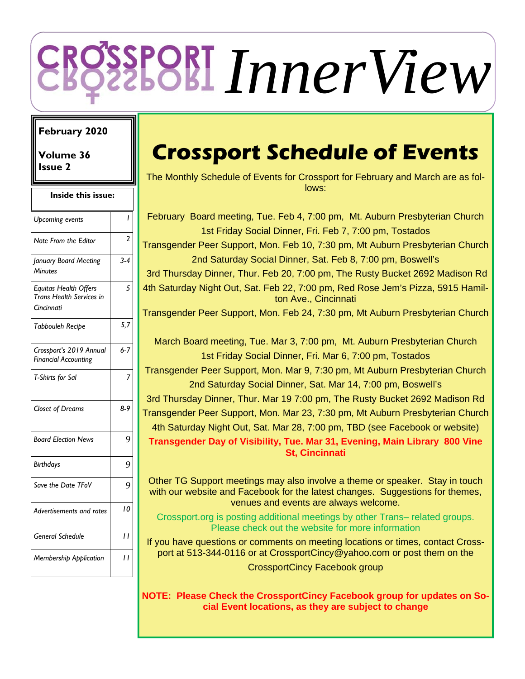# *InnerView*

## **February 2020**

**Volume 36 Issue 2** 

| Inside this issue: |  |  |  |  |  |  |
|--------------------|--|--|--|--|--|--|
| I                  |  |  |  |  |  |  |
| 2                  |  |  |  |  |  |  |
| $3 - 4$            |  |  |  |  |  |  |
| 5                  |  |  |  |  |  |  |
| 5,7                |  |  |  |  |  |  |
| $6 - 7$            |  |  |  |  |  |  |
| 7                  |  |  |  |  |  |  |
| 8-9                |  |  |  |  |  |  |
| 9                  |  |  |  |  |  |  |
| 9                  |  |  |  |  |  |  |
| 9                  |  |  |  |  |  |  |
| 10                 |  |  |  |  |  |  |
| 11                 |  |  |  |  |  |  |
| $\overline{1}$     |  |  |  |  |  |  |
|                    |  |  |  |  |  |  |

# **Crossport Schedule of Events**

The Monthly Schedule of Events for Crossport for February and March are as follows:

February Board meeting, Tue. Feb 4, 7:00 pm, Mt. Auburn Presbyterian Church 1st Friday Social Dinner, Fri. Feb 7, 7:00 pm, Tostados Transgender Peer Support, Mon. Feb 10, 7:30 pm, Mt Auburn Presbyterian Church 2nd Saturday Social Dinner, Sat. Feb 8, 7:00 pm, Boswell's 3rd Thursday Dinner, Thur. Feb 20, 7:00 pm, The Rusty Bucket 2692 Madison Rd 4th Saturday Night Out, Sat. Feb 22, 7:00 pm, Red Rose Jem's Pizza, 5915 Hamilton Ave., Cincinnati Transgender Peer Support, Mon. Feb 24, 7:30 pm, Mt Auburn Presbyterian Church March Board meeting, Tue. Mar 3, 7:00 pm, Mt. Auburn Presbyterian Church 1st Friday Social Dinner, Fri. Mar 6, 7:00 pm, Tostados Transgender Peer Support, Mon. Mar 9, 7:30 pm, Mt Auburn Presbyterian Church 2nd Saturday Social Dinner, Sat. Mar 14, 7:00 pm, Boswell's 3rd Thursday Dinner, Thur. Mar 19 7:00 pm, The Rusty Bucket 2692 Madison Rd Transgender Peer Support, Mon. Mar 23, 7:30 pm, Mt Auburn Presbyterian Church 4th Saturday Night Out, Sat. Mar 28, 7:00 pm, TBD (see Facebook or website) **Transgender Day of Visibility, Tue. Mar 31, Evening, Main Library 800 Vine St, Cincinnati** 

Other TG Support meetings may also involve a theme or speaker. Stay in touch with our website and Facebook for the latest changes. Suggestions for themes, venues and events are always welcome.

Crossport.org is posting additional meetings by other Trans– related groups. Please check out the website for more information

If you have questions or comments on meeting locations or times, contact Crossport at 513-344-0116 or at CrossportCincy@yahoo.com or post them on the CrossportCincy Facebook group

**NOTE: Please Check the CrossportCincy Facebook group for updates on Social Event locations, as they are subject to change**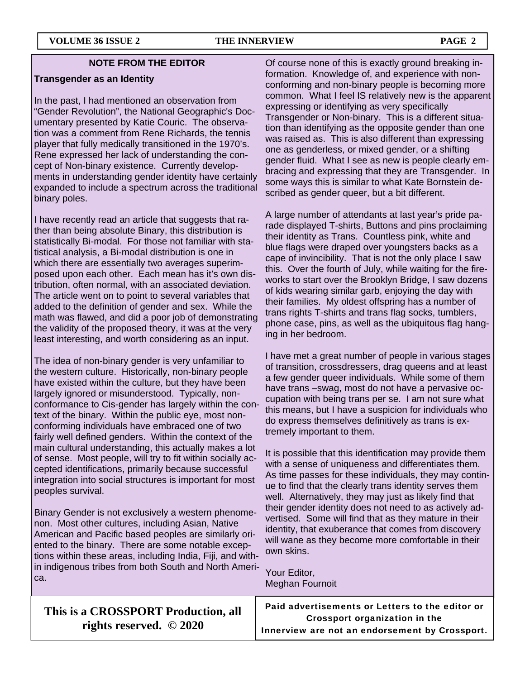#### **NOTE FROM THE EDITOR**

#### **Transgender as an Identity**

In the past, I had mentioned an observation from "Gender Revolution", the National Geographic's Documentary presented by Katie Couric. The observation was a comment from Rene Richards, the tennis player that fully medically transitioned in the 1970's. Rene expressed her lack of understanding the concept of Non-binary existence. Currently developments in understanding gender identity have certainly expanded to include a spectrum across the traditional binary poles.

I have recently read an article that suggests that rather than being absolute Binary, this distribution is statistically Bi-modal. For those not familiar with statistical analysis, a Bi-modal distribution is one in which there are essentially two averages superimposed upon each other. Each mean has it's own distribution, often normal, with an associated deviation. The article went on to point to several variables that added to the definition of gender and sex. While the math was flawed, and did a poor job of demonstrating the validity of the proposed theory, it was at the very least interesting, and worth considering as an input.

The idea of non-binary gender is very unfamiliar to the western culture. Historically, non-binary people have existed within the culture, but they have been largely ignored or misunderstood. Typically, nonconformance to Cis-gender has largely within the context of the binary. Within the public eye, most nonconforming individuals have embraced one of two fairly well defined genders. Within the context of the main cultural understanding, this actually makes a lot of sense. Most people, will try to fit within socially accepted identifications, primarily because successful integration into social structures is important for most peoples survival.

Binary Gender is not exclusively a western phenomenon. Most other cultures, including Asian, Native American and Pacific based peoples are similarly oriented to the binary. There are some notable exceptions within these areas, including India, Fiji, and within indigenous tribes from both South and North America.

Of course none of this is exactly ground breaking information. Knowledge of, and experience with nonconforming and non-binary people is becoming more common. What I feel IS relatively new is the apparent expressing or identifying as very specifically Transgender or Non-binary. This is a different situation than identifying as the opposite gender than one was raised as. This is also different than expressing one as genderless, or mixed gender, or a shifting gender fluid. What I see as new is people clearly embracing and expressing that they are Transgender. In some ways this is similar to what Kate Bornstein described as gender queer, but a bit different.

A large number of attendants at last year's pride parade displayed T-shirts, Buttons and pins proclaiming their identity as Trans. Countless pink, white and blue flags were draped over youngsters backs as a cape of invincibility. That is not the only place I saw this. Over the fourth of July, while waiting for the fireworks to start over the Brooklyn Bridge, I saw dozens of kids wearing similar garb, enjoying the day with their families. My oldest offspring has a number of trans rights T-shirts and trans flag socks, tumblers, phone case, pins, as well as the ubiquitous flag hanging in her bedroom.

I have met a great number of people in various stages of transition, crossdressers, drag queens and at least a few gender queer individuals. While some of them have trans –swag, most do not have a pervasive occupation with being trans per se. I am not sure what this means, but I have a suspicion for individuals who do express themselves definitively as trans is extremely important to them.

It is possible that this identification may provide them with a sense of uniqueness and differentiates them. As time passes for these individuals, they may continue to find that the clearly trans identity serves them well. Alternatively, they may just as likely find that their gender identity does not need to as actively advertised. Some will find that as they mature in their identity, that exuberance that comes from discovery will wane as they become more comfortable in their own skins.

Your Editor, Meghan Fournoit

| This is a CROSSPORT Production, all |  |
|-------------------------------------|--|
| rights reserved. $\odot$ 2020       |  |

Paid advertisements or Letters to the editor or Crossport organization in the Innerview are not an endorsement by Crossport.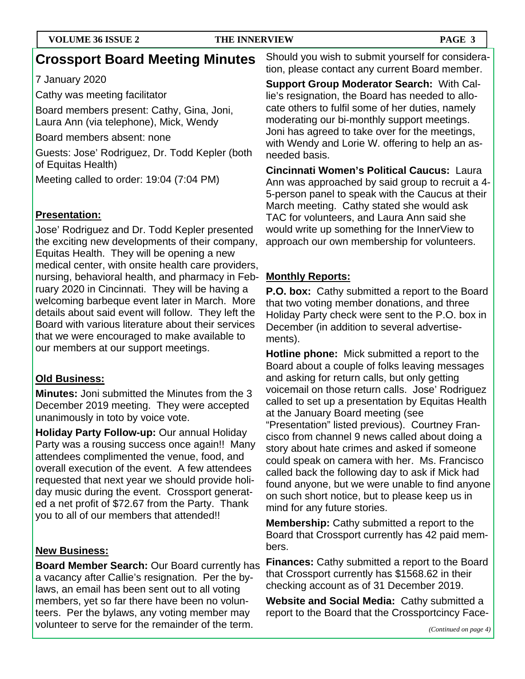# **Crossport Board Meeting Minutes**

## 7 January 2020

Cathy was meeting facilitator

Board members present: Cathy, Gina, Joni, Laura Ann (via telephone), Mick, Wendy

Board members absent: none

Guests: Jose' Rodriguez, Dr. Todd Kepler (both of Equitas Health)

Meeting called to order: 19:04 (7:04 PM)

## **Presentation:**

Jose' Rodriguez and Dr. Todd Kepler presented the exciting new developments of their company, Equitas Health. They will be opening a new medical center, with onsite health care providers, nursing, behavioral health, and pharmacy in February 2020 in Cincinnati. They will be having a welcoming barbeque event later in March. More details about said event will follow. They left the Board with various literature about their services that we were encouraged to make available to our members at our support meetings.

## **Old Business:**

**Minutes:** Joni submitted the Minutes from the 3 December 2019 meeting. They were accepted unanimously in toto by voice vote.

**Holiday Party Follow-up:** Our annual Holiday Party was a rousing success once again!! Many attendees complimented the venue, food, and overall execution of the event. A few attendees requested that next year we should provide holiday music during the event. Crossport generated a net profit of \$72.67 from the Party. Thank you to all of our members that attended!!

## **New Business:**

**Board Member Search:** Our Board currently has a vacancy after Callie's resignation. Per the bylaws, an email has been sent out to all voting members, yet so far there have been no volunteers. Per the bylaws, any voting member may volunteer to serve for the remainder of the term.

Should you wish to submit yourself for consideration, please contact any current Board member.

**Support Group Moderator Search:** With Callie's resignation, the Board has needed to allocate others to fulfil some of her duties, namely moderating our bi-monthly support meetings. Joni has agreed to take over for the meetings, with Wendy and Lorie W. offering to help an asneeded basis.

**Cincinnati Women's Political Caucus:** Laura Ann was approached by said group to recruit a 4- 5-person panel to speak with the Caucus at their March meeting. Cathy stated she would ask TAC for volunteers, and Laura Ann said she would write up something for the InnerView to approach our own membership for volunteers.

## **Monthly Reports:**

**P.O. box:** Cathy submitted a report to the Board that two voting member donations, and three Holiday Party check were sent to the P.O. box in December (in addition to several advertisements).

**Hotline phone:** Mick submitted a report to the Board about a couple of folks leaving messages and asking for return calls, but only getting voicemail on those return calls. Jose' Rodriguez called to set up a presentation by Equitas Health at the January Board meeting (see "Presentation" listed previous). Courtney Francisco from channel 9 news called about doing a story about hate crimes and asked if someone could speak on camera with her. Ms. Francisco called back the following day to ask if Mick had found anyone, but we were unable to find anyone on such short notice, but to please keep us in mind for any future stories.

**Membership:** Cathy submitted a report to the Board that Crossport currently has 42 paid members.

**Finances:** Cathy submitted a report to the Board that Crossport currently has \$1568.62 in their checking account as of 31 December 2019.

**Website and Social Media:** Cathy submitted a report to the Board that the Crossportcincy Face-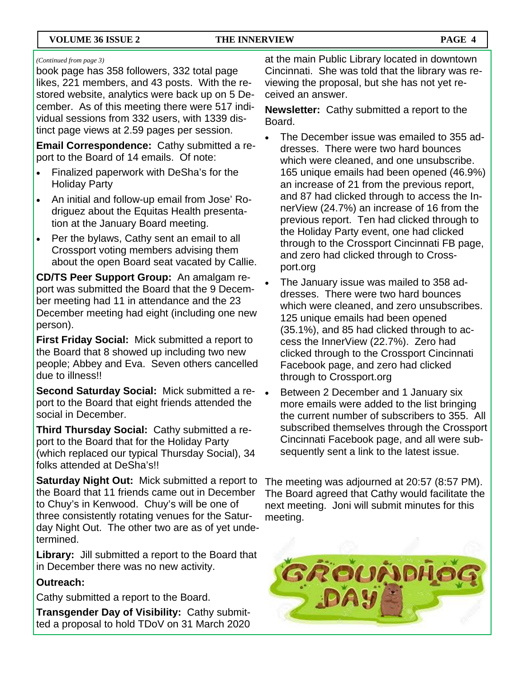#### *(Continued from page 3)*

book page has 358 followers, 332 total page likes, 221 members, and 43 posts. With the restored website, analytics were back up on 5 December. As of this meeting there were 517 individual sessions from 332 users, with 1339 distinct page views at 2.59 pages per session.

**Email Correspondence:** Cathy submitted a report to the Board of 14 emails. Of note:

- Finalized paperwork with DeSha's for the Holiday Party
- An initial and follow-up email from Jose' Rodriguez about the Equitas Health presentation at the January Board meeting.
- Per the bylaws, Cathy sent an email to all Crossport voting members advising them about the open Board seat vacated by Callie.

**CD/TS Peer Support Group:** An amalgam report was submitted the Board that the 9 December meeting had 11 in attendance and the 23 December meeting had eight (including one new person).

**First Friday Social:** Mick submitted a report to the Board that 8 showed up including two new people; Abbey and Eva. Seven others cancelled due to illness!!

**Second Saturday Social:** Mick submitted a report to the Board that eight friends attended the social in December.

**Third Thursday Social:** Cathy submitted a report to the Board that for the Holiday Party (which replaced our typical Thursday Social), 34 folks attended at DeSha's!!

**Saturday Night Out:** Mick submitted a report to the Board that 11 friends came out in December to Chuy's in Kenwood. Chuy's will be one of three consistently rotating venues for the Saturday Night Out. The other two are as of yet undetermined.

**Library:** Jill submitted a report to the Board that in December there was no new activity.

## **Outreach:**

Cathy submitted a report to the Board.

**Transgender Day of Visibility:** Cathy submitted a proposal to hold TDoV on 31 March 2020 at the main Public Library located in downtown Cincinnati. She was told that the library was reviewing the proposal, but she has not yet received an answer.

**Newsletter:** Cathy submitted a report to the Board.

- The December issue was emailed to 355 addresses. There were two hard bounces which were cleaned, and one unsubscribe. 165 unique emails had been opened (46.9%) an increase of 21 from the previous report, and 87 had clicked through to access the InnerView (24.7%) an increase of 16 from the previous report. Ten had clicked through to the Holiday Party event, one had clicked through to the Crossport Cincinnati FB page, and zero had clicked through to Crossport.org
- The January issue was mailed to 358 addresses. There were two hard bounces which were cleaned, and zero unsubscribes. 125 unique emails had been opened (35.1%), and 85 had clicked through to access the InnerView (22.7%). Zero had clicked through to the Crossport Cincinnati Facebook page, and zero had clicked through to Crossport.org
- Between 2 December and 1 January six more emails were added to the list bringing the current number of subscribers to 355. All subscribed themselves through the Crossport Cincinnati Facebook page, and all were subsequently sent a link to the latest issue.

The meeting was adjourned at 20:57 (8:57 PM). The Board agreed that Cathy would facilitate the next meeting. Joni will submit minutes for this meeting.

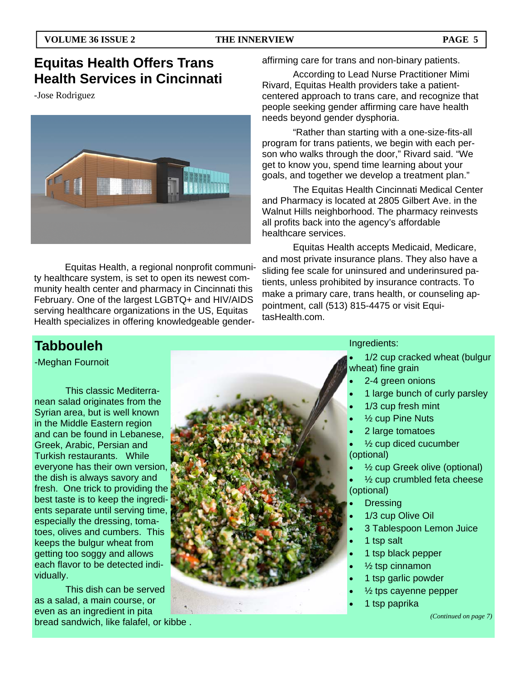# **Equitas Health Offers Trans Health Services in Cincinnati**

-Jose Rodriguez



 Equitas Health, a regional nonprofit community healthcare system, is set to open its newest community health center and pharmacy in Cincinnati this February. One of the largest LGBTQ+ and HIV/AIDS serving healthcare organizations in the US, Equitas Health specializes in offering knowledgeable genderaffirming care for trans and non-binary patients.

 According to Lead Nurse Practitioner Mimi Rivard, Equitas Health providers take a patientcentered approach to trans care, and recognize that people seeking gender affirming care have health needs beyond gender dysphoria.

 "Rather than starting with a one-size-fits-all program for trans patients, we begin with each person who walks through the door," Rivard said. "We get to know you, spend time learning about your goals, and together we develop a treatment plan."

 The Equitas Health Cincinnati Medical Center and Pharmacy is located at 2805 Gilbert Ave. in the Walnut Hills neighborhood. The pharmacy reinvests all profits back into the agency's affordable healthcare services.

 Equitas Health accepts Medicaid, Medicare, and most private insurance plans. They also have a sliding fee scale for uninsured and underinsured patients, unless prohibited by insurance contracts. To make a primary care, trans health, or counseling appointment, call (513) 815-4475 or visit EquitasHealth.com.

# **Tabbouleh**

-Meghan Fournoit

 This classic Mediterranean salad originates from the Syrian area, but is well known in the Middle Eastern region and can be found in Lebanese, Greek, Arabic, Persian and Turkish restaurants. While everyone has their own version, the dish is always savory and fresh. One trick to providing the best taste is to keep the ingredients separate until serving time, especially the dressing, tomatoes, olives and cumbers. This keeps the bulgur wheat from getting too soggy and allows each flavor to be detected individually.

 This dish can be served as a salad, a main course, or even as an ingredient in pita bread sandwich, like falafel, or kibbe .



#### Ingredients:

- 1/2 cup cracked wheat (bulgur wheat) fine grain
- 2-4 green onions
- 1 large bunch of curly parsley
- 1/3 cup fresh mint
- ½ cup Pine Nuts
- 2 large tomatoes
- ½ cup diced cucumber (optional)
- ½ cup Greek olive (optional)
- ½ cup crumbled feta cheese (optional)
- **Dressing**
- 1/3 cup Olive Oil
- 3 Tablespoon Lemon Juice
- 1 tsp salt
- 1 tsp black pepper
- ½ tsp cinnamon
- 1 tsp garlic powder
- ½ tps cayenne pepper
- 1 tsp paprika

*(Continued on page 7)*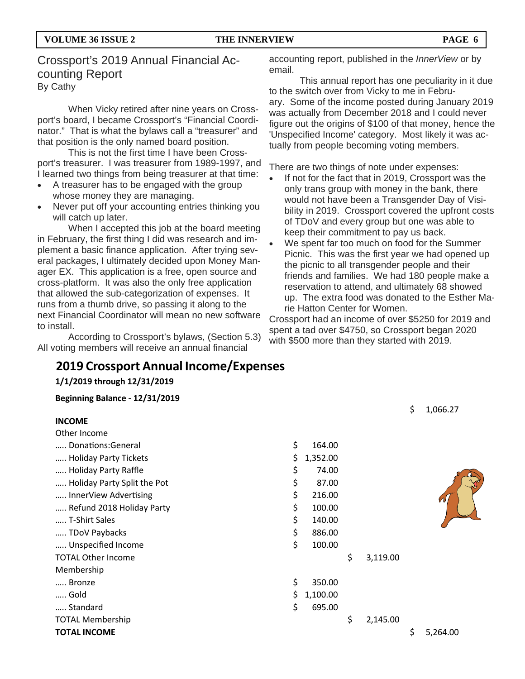## Crossport's 2019 Annual Financial Accounting Report By Cathy

When Vicky retired after nine years on Crossport's board, I became Crossport's "Financial Coordinator." That is what the bylaws call a "treasurer" and that position is the only named board position.

 This is not the first time I have been Crossport's treasurer. I was treasurer from 1989-1997, and I learned two things from being treasurer at that time:

- A treasurer has to be engaged with the group whose money they are managing.
- Never put off your accounting entries thinking you will catch up later.

 When I accepted this job at the board meeting in February, the first thing I did was research and implement a basic finance application. After trying several packages, I ultimately decided upon Money Manager EX. This application is a free, open source and cross-platform. It was also the only free application that allowed the sub-categorization of expenses. It runs from a thumb drive, so passing it along to the next Financial Coordinator will mean no new software to install.

 According to Crossport's bylaws, (Section 5.3) All voting members will receive an annual financial

## **2019 Crossport Annual Income/Expenses**

**1/1/2019 through 12/31/2019**

**Beginning Balance ‐ 12/31/2019**

|        |  | accounting report, published in the InnerView or by |
|--------|--|-----------------------------------------------------|
| email. |  |                                                     |

 This annual report has one peculiarity in it due to the switch over from Vicky to me in February. Some of the income posted during January 2019 was actually from December 2018 and I could never figure out the origins of \$100 of that money, hence the 'Unspecified Income' category. Most likely it was actually from people becoming voting members.

There are two things of note under expenses:

- If not for the fact that in 2019, Crossport was the only trans group with money in the bank, there would not have been a Transgender Day of Visibility in 2019. Crossport covered the upfront costs of TDoV and every group but one was able to keep their commitment to pay us back.
- We spent far too much on food for the Summer Picnic. This was the first year we had opened up the picnic to all transgender people and their friends and families. We had 180 people make a reservation to attend, and ultimately 68 showed up. The extra food was donated to the Esther Marie Hatton Center for Women.

Crossport had an income of over \$5250 for 2019 and spent a tad over \$4750, so Crossport began 2020 with \$500 more than they started with 2019.

 $6, 1066.27$ 

| <b>INCOME</b>               |    |          |                | ↩  | 1,000.27                |
|-----------------------------|----|----------|----------------|----|-------------------------|
| Other Income                |    |          |                |    |                         |
| Donations:General           | \$ | 164.00   |                |    |                         |
| Holiday Party Tickets       | \$ | 1,352.00 |                |    |                         |
| Holiday Party Raffle        | \$ | 74.00    |                |    |                         |
| Holiday Party Split the Pot | \$ | 87.00    |                |    |                         |
| InnerView Advertising       | \$ | 216.00   |                |    | $\mathcal{\mathcal{U}}$ |
| Refund 2018 Holiday Party   | \$ | 100.00   |                |    |                         |
| T-Shirt Sales               | \$ | 140.00   |                |    |                         |
| TDoV Paybacks               | \$ | 886.00   |                |    |                         |
| Unspecified Income          | \$ | 100.00   |                |    |                         |
| <b>TOTAL Other Income</b>   |    |          | \$<br>3,119.00 |    |                         |
| Membership                  |    |          |                |    |                         |
| Bronze                      | \$ | 350.00   |                |    |                         |
| Gold                        | Ş  | 1,100.00 |                |    |                         |
| Standard                    | \$ | 695.00   |                |    |                         |
| <b>TOTAL Membership</b>     |    |          | \$<br>2,145.00 |    |                         |
| <b>TOTAL INCOME</b>         |    |          |                | \$ | 5,264.00                |
|                             |    |          |                |    |                         |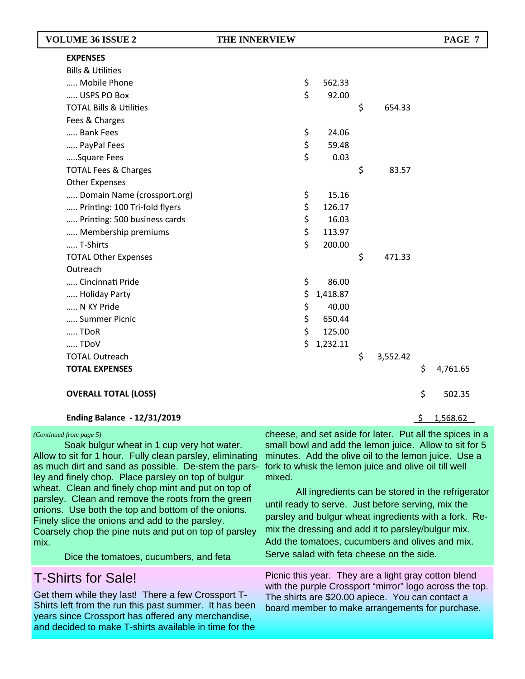| <b>VOLUME 36 ISSUE 2</b>           | <b>THE INNERVIEW</b> |          |                |    | PAGE 7                                                   |  |
|------------------------------------|----------------------|----------|----------------|----|----------------------------------------------------------|--|
| <b>EXPENSES</b>                    |                      |          |                |    |                                                          |  |
| <b>Bills &amp; Utilities</b>       |                      |          |                |    |                                                          |  |
| Mobile Phone                       | \$                   | 562.33   |                |    |                                                          |  |
| USPS PO Box                        | \$                   | 92.00    |                |    |                                                          |  |
| <b>TOTAL Bills &amp; Utilities</b> |                      |          | \$<br>654.33   |    |                                                          |  |
| Fees & Charges                     |                      |          |                |    |                                                          |  |
| Bank Fees                          | \$                   | 24.06    |                |    |                                                          |  |
| PayPal Fees                        | \$                   | 59.48    |                |    |                                                          |  |
| Square Fees                        | \$                   | 0.03     |                |    |                                                          |  |
| <b>TOTAL Fees &amp; Charges</b>    |                      |          | \$<br>83.57    |    |                                                          |  |
| <b>Other Expenses</b>              |                      |          |                |    |                                                          |  |
| Domain Name (crossport.org)        | \$                   | 15.16    |                |    |                                                          |  |
| Printing: 100 Tri-fold flyers      | \$                   | 126.17   |                |    |                                                          |  |
| Printing: 500 business cards       | \$                   | 16.03    |                |    |                                                          |  |
| Membership premiums                | \$                   | 113.97   |                |    |                                                          |  |
| T-Shirts                           | \$                   | 200.00   |                |    |                                                          |  |
| <b>TOTAL Other Expenses</b>        |                      |          | \$<br>471.33   |    |                                                          |  |
| Outreach                           |                      |          |                |    |                                                          |  |
| Cincinnati Pride                   | \$                   | 86.00    |                |    |                                                          |  |
| Holiday Party                      | \$                   | 1,418.87 |                |    |                                                          |  |
| N KY Pride                         | \$                   | 40.00    |                |    |                                                          |  |
| Summer Picnic                      | \$                   | 650.44   |                |    |                                                          |  |
| TDoR                               | \$                   | 125.00   |                |    |                                                          |  |
| TDoV                               | \$                   | 1,232.11 |                |    |                                                          |  |
| <b>TOTAL Outreach</b>              |                      |          | \$<br>3,552.42 |    |                                                          |  |
| <b>TOTAL EXPENSES</b>              |                      |          |                | \$ | 4,761.65                                                 |  |
| <b>OVERALL TOTAL (LOSS)</b>        |                      |          |                | \$ | 502.35                                                   |  |
| <b>Ending Balance - 12/31/2019</b> |                      |          |                | -S | 1,568.62                                                 |  |
| (Continued from page 5)            |                      |          |                |    | cheese, and set aside for later. Put all the spices in a |  |

 Soak bulgur wheat in 1 cup very hot water. Allow to sit for 1 hour. Fully clean parsley, eliminating as much dirt and sand as possible. De-stem the parsley and finely chop. Place parsley on top of bulgur wheat. Clean and finely chop mint and put on top of parsley. Clean and remove the roots from the green onions. Use both the top and bottom of the onions. Finely slice the onions and add to the parsley. Coarsely chop the pine nuts and put on top of parsley mix.

Dice the tomatoes, cucumbers, and feta

# T-Shirts for Sale!

Get them while they last! There a few Crossport T-Shirts left from the run this past summer. It has been years since Crossport has offered any merchandise, and decided to make T-shirts available in time for the

cheese, and set aside for later. Put all the spices in a small bowl and add the lemon juice. Allow to sit for 5 minutes. Add the olive oil to the lemon juice. Use a fork to whisk the lemon juice and olive oil till well mixed.

 All ingredients can be stored in the refrigerator until ready to serve. Just before serving, mix the parsley and bulgur wheat ingredients with a fork. Remix the dressing and add it to parsley/bulgur mix. Add the tomatoes, cucumbers and olives and mix. Serve salad with feta cheese on the side.

Picnic this year. They are a light gray cotton blend with the purple Crossport "mirror" logo across the top. The shirts are \$20.00 apiece. You can contact a board member to make arrangements for purchase.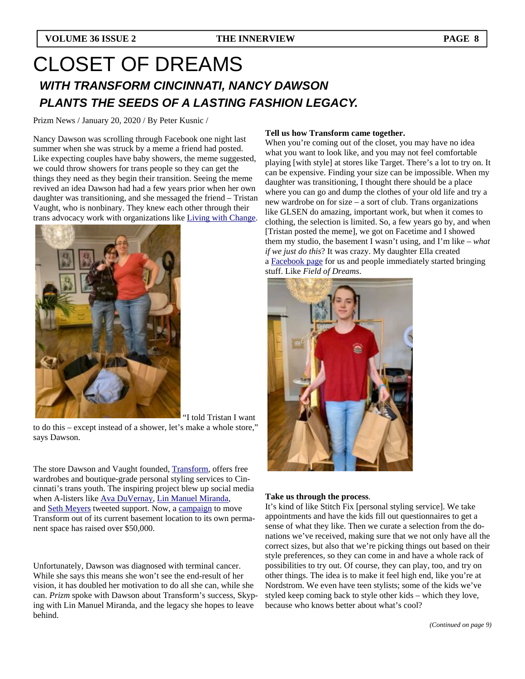# CLOSET OF DREAMS *WITH TRANSFORM CINCINNATI, NANCY DAWSON PLANTS THE SEEDS OF A LASTING FASHION LEGACY.*

Prizm News / January 20, 2020 / By Peter Kusnic /

Nancy Dawson was scrolling through Facebook one night last summer when she was struck by a meme a friend had posted. Like expecting couples have baby showers, the meme suggested, we could throw showers for trans people so they can get the things they need as they begin their transition. Seeing the meme revived an idea Dawson had had a few years prior when her own daughter was transitioning, and she messaged the friend – Tristan Vaught, who is nonbinary. They knew each other through their trans advocacy work with organizations like Living with Change.



"I told Tristan I want

to do this – except instead of a shower, let's make a whole store," says Dawson.

The store Dawson and Vaught founded, Transform, offers free wardrobes and boutique-grade personal styling services to Cincinnati's trans youth. The inspiring project blew up social media when A-listers like Ava DuVernay, Lin Manuel Miranda, and Seth Meyers tweeted support. Now, a campaign to move Transform out of its current basement location to its own permanent space has raised over \$50,000.

Unfortunately, Dawson was diagnosed with terminal cancer. While she says this means she won't see the end-result of her vision, it has doubled her motivation to do all she can, while she can. *Prizm* spoke with Dawson about Transform's success, Skyping with Lin Manuel Miranda, and the legacy she hopes to leave behind.

#### **Tell us how Transform came together.**

When you're coming out of the closet, you may have no idea what you want to look like, and you may not feel comfortable playing [with style] at stores like Target. There's a lot to try on. It can be expensive. Finding your size can be impossible. When my daughter was transitioning, I thought there should be a place where you can go and dump the clothes of your old life and try a new wardrobe on for size – a sort of club. Trans organizations like GLSEN do amazing, important work, but when it comes to clothing, the selection is limited. So, a few years go by, and when [Tristan posted the meme], we got on Facetime and I showed them my studio, the basement I wasn't using, and I'm like – *what if we just do this*? It was crazy. My daughter Ella created a Facebook page for us and people immediately started bringing stuff. Like *Field of Dreams*.



#### **Take us through the process**.

It's kind of like Stitch Fix [personal styling service]. We take appointments and have the kids fill out questionnaires to get a sense of what they like. Then we curate a selection from the donations we've received, making sure that we not only have all the correct sizes, but also that we're picking things out based on their style preferences, so they can come in and have a whole rack of possibilities to try out. Of course, they can play, too, and try on other things. The idea is to make it feel high end, like you're at Nordstrom. We even have teen stylists; some of the kids we've styled keep coming back to style other kids – which they love, because who knows better about what's cool?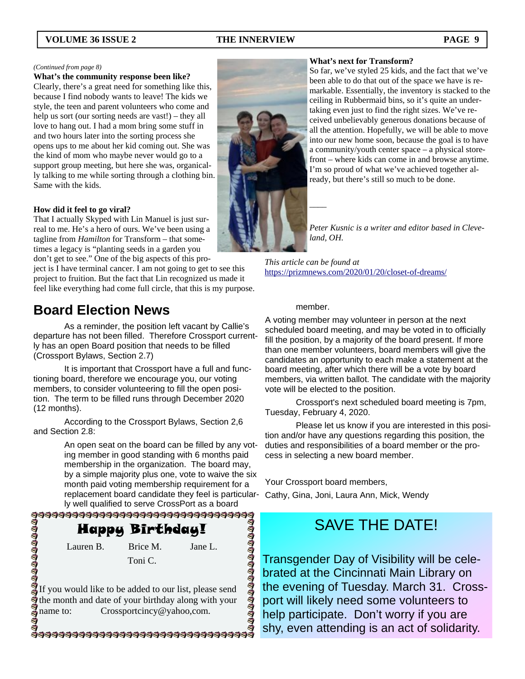#### *(Continued from page 8)*

#### **What's the community response been like?**

Clearly, there's a great need for something like this, because I find nobody wants to leave! The kids we style, the teen and parent volunteers who come and help us sort (our sorting needs are vast!) – they all love to hang out. I had a mom bring some stuff in and two hours later into the sorting process she opens ups to me about her kid coming out. She was the kind of mom who maybe never would go to a support group meeting, but here she was, organically talking to me while sorting through a clothing bin. Same with the kids.

#### **How did it feel to go viral?**

That I actually Skyped with Lin Manuel is just surreal to me. He's a hero of ours. We've been using a tagline from *Hamilton* for Transform – that sometimes a legacy is "planting seeds in a garden you don't get to see." One of the big aspects of this pro-

ject is I have terminal cancer. I am not going to get to see this project to fruition. But the fact that Lin recognized us made it feel like everything had come full circle, that this is my purpose.

## **Board Election News**

 As a reminder, the position left vacant by Callie's departure has not been filled. Therefore Crossport currently has an open Board position that needs to be filled (Crossport Bylaws, Section 2.7)

 It is important that Crossport have a full and functioning board, therefore we encourage you, our voting members, to consider volunteering to fill the open position. The term to be filled runs through December 2020 (12 months).

 According to the Crossport Bylaws, Section 2,6 and Section 2.8:

> An open seat on the board can be filled by any voting member in good standing with 6 months paid membership in the organization. The board may, by a simple majority plus one, vote to waive the six month paid voting membership requirement for a replacement board candidate they feel is particularly well qualified to serve CrossPort as a board

**DOOOOOOOOOOOOOOO** 

Happy Birthday!

Lauren B. Brice M. Jane L.

Toni C.

If you would like to be added to our list, please send the month and date of your birthday along with your name to: Crossportcincy@yahoo,com.

\$\$\$\$\$\$\$\$\$\$\$\$\$\$\$\$\$\$\$\$\$\$\$\$\$\$\$\$\$\$\$\$\$\$\$



#### **What's next for Transform?**

So far, we've styled 25 kids, and the fact that we've been able to do that out of the space we have is remarkable. Essentially, the inventory is stacked to the ceiling in Rubbermaid bins, so it's quite an undertaking even just to find the right sizes. We've received unbelievably generous donations because of all the attention. Hopefully, we will be able to move into our new home soon, because the goal is to have a community/youth center space – a physical storefront – where kids can come in and browse anytime. I'm so proud of what we've achieved together already, but there's still so much to be done.

*Peter Kusnic is a writer and editor based in Cleveland, OH.* 

*This article can be found at*  https://prizmnews.com/2020/01/20/closet-of-dreams/

#### member.

A voting member may volunteer in person at the next scheduled board meeting, and may be voted in to officially fill the position, by a majority of the board present. If more than one member volunteers, board members will give the candidates an opportunity to each make a statement at the board meeting, after which there will be a vote by board members, via written ballot. The candidate with the majority vote will be elected to the position.

 Crossport's next scheduled board meeting is 7pm, Tuesday, February 4, 2020.

 Please let us know if you are interested in this position and/or have any questions regarding this position, the duties and responsibilities of a board member or the process in selecting a new board member.

Your Crossport board members,

Cathy, Gina, Joni, Laura Ann, Mick, Wendy

# SAVE THE DATE!

Transgender Day of Visibility will be celebrated at the Cincinnati Main Library on the evening of Tuesday. March 31. Crossport will likely need some volunteers to help participate. Don't worry if you are shy, even attending is an act of solidarity.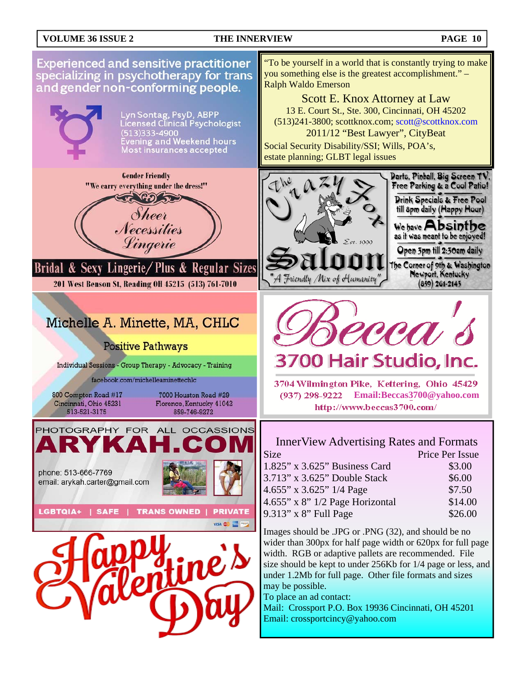